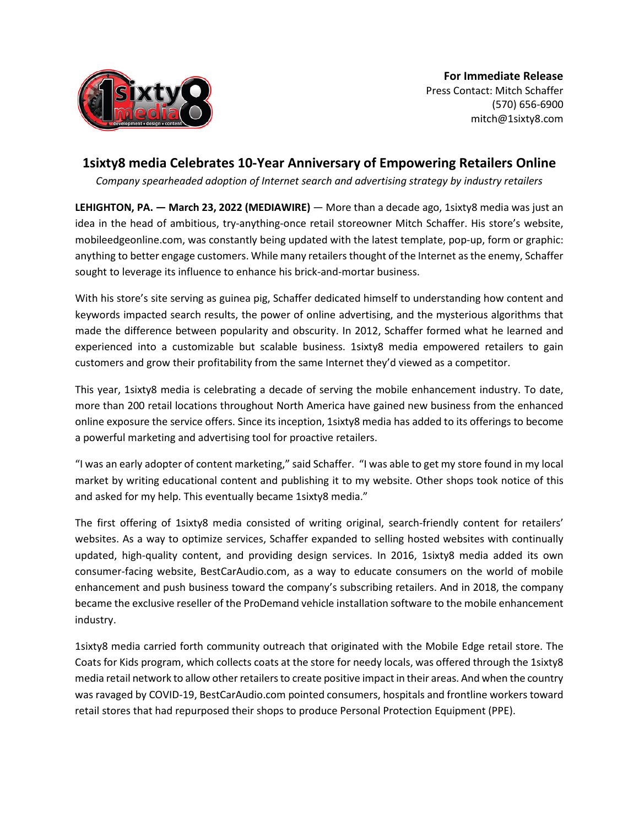

## **1sixty8 media Celebrates 10-Year Anniversary of Empowering Retailers Online**

*Company spearheaded adoption of Internet search and advertising strategy by industry retailers*

**LEHIGHTON, PA. — March 23, 2022 (MEDIAWIRE)** — More than a decade ago, 1sixty8 media was just an idea in the head of ambitious, try-anything-once retail storeowner Mitch Schaffer. His store's website, mobileedgeonline.com, was constantly being updated with the latest template, pop-up, form or graphic: anything to better engage customers. While many retailers thought of the Internet as the enemy, Schaffer sought to leverage its influence to enhance his brick-and-mortar business.

With his store's site serving as guinea pig, Schaffer dedicated himself to understanding how content and keywords impacted search results, the power of online advertising, and the mysterious algorithms that made the difference between popularity and obscurity. In 2012, Schaffer formed what he learned and experienced into a customizable but scalable business. 1sixty8 media empowered retailers to gain customers and grow their profitability from the same Internet they'd viewed as a competitor.

This year, 1sixty8 media is celebrating a decade of serving the mobile enhancement industry. To date, more than 200 retail locations throughout North America have gained new business from the enhanced online exposure the service offers. Since its inception, 1sixty8 media has added to its offerings to become a powerful marketing and advertising tool for proactive retailers.

"I was an early adopter of content marketing," said Schaffer. "I was able to get my store found in my local market by writing educational content and publishing it to my website. Other shops took notice of this and asked for my help. This eventually became 1sixty8 media."

The first offering of 1sixty8 media consisted of writing original, search-friendly content for retailers' websites. As a way to optimize services, Schaffer expanded to selling hosted websites with continually updated, high-quality content, and providing design services. In 2016, 1sixty8 media added its own consumer-facing website, BestCarAudio.com, as a way to educate consumers on the world of mobile enhancement and push business toward the company's subscribing retailers. And in 2018, the company became the exclusive reseller of the ProDemand vehicle installation software to the mobile enhancement industry.

1sixty8 media carried forth community outreach that originated with the Mobile Edge retail store. The Coats for Kids program, which collects coats at the store for needy locals, was offered through the 1sixty8 media retail network to allow other retailers to create positive impact in their areas. And when the country was ravaged by COVID-19, BestCarAudio.com pointed consumers, hospitals and frontline workers toward retail stores that had repurposed their shops to produce Personal Protection Equipment (PPE).